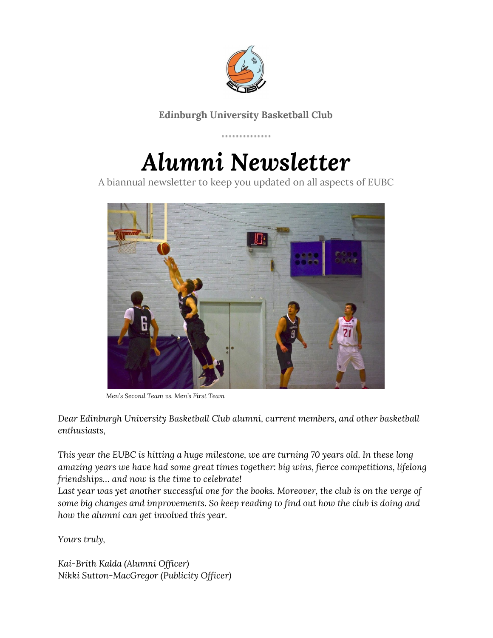

### **Edinburgh University Basketball Club**

. . . . . . . . . . . . . . .

# *Alumni Newsletter*

A biannual newsletter to keep you updated on all aspects of EUBC



*Men's Second Team vs. Men's First Team*

*Dear Edinburgh University Basketball Club alumni, current members, and other basketball enthusiasts,*

*This year the EUBC is hitting a huge milestone, we are turning 70 years old. In these long amazing years we have had some great times together: big wins, fierce competitions, lifelong friendships… and now is the time to celebrate!*

*Last year was yet another successful one for the books. Moreover, the club is on the verge of some big changes and improvements. So keep reading to find out how the club is doing and how the alumni can get involved this year.*

*Yours truly,*

*Kai-Brith Kalda (Alumni Officer) Nikki Sutton-MacGregor (Publicity Officer)*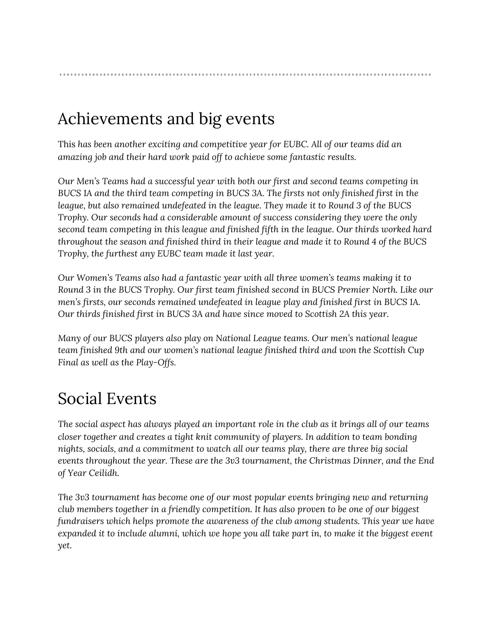### Achievements and big events

This *has been another exciting and competitive year for EUBC. All of our teams did an amazing job and their hard work paid off to achieve some fantastic results.*

*Our Men's Teams had a successful year with both our first and second teams competing in BUCS 1A and the third team competing in BUCS 3A. The firsts not only finished first in the league, but also remained undefeated in the league. They made it to Round 3 of the BUCS Trophy. Our seconds had a considerable amount of success considering they were the only second team competing in this league and finished fifth in the league. Our thirds worked hard throughout the season and finished third in their league and made it to Round 4 of the BUCS Trophy, the furthest any EUBC team made it last year.*

*Our Women's Teams also had a fantastic year with all three women's teams making it to Round 3 in the BUCS Trophy. Our first team finished second in BUCS Premier North. Like our men's firsts, our seconds remained undefeated in league play and finished first in BUCS 1A. Our thirds finished first in BUCS 3A and have since moved to Scottish 2A this year.*

*Many of our BUCS players also play on National League teams. Our men's national league team finished 9th and our women's national league finished third and won the Scottish Cup Final as well as the Play-Offs.*

## Social Events

The social aspect has always played an important role in the club as it brings all of our teams *closer together and creates a tight knit community of players. In addition to team bonding nights, socials, and a commitment to watch all our teams play, there are three big social events throughout the year. These are the 3v3 tournament, the Christmas Dinner, and the End of Year Ceilidh.*

*The 3v3 tournament has become one of our most popular events bringing new and returning club members together in a friendly competition. It has also proven to be one of our biggest fundraisers which helps promote the awareness of the club among students. This year we have* expanded it to include alumni, which we hope you all take part in, to make it the biggest event *yet.*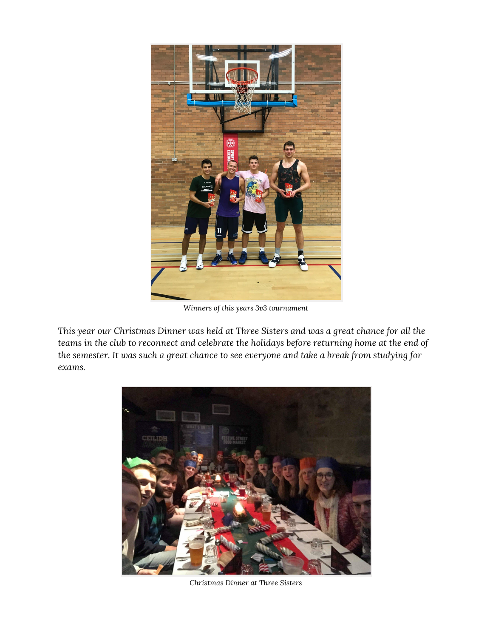

*Winners of this years 3v3 tournament*

*This year our Christmas Dinner was held at Three Sisters and was a great chance for all the teams in the club to reconnect and celebrate the holidays before returning home at the end of the semester. It was such a great chance to see everyone and take a break from studying for exams.*



*Christmas Dinner at Three Sisters*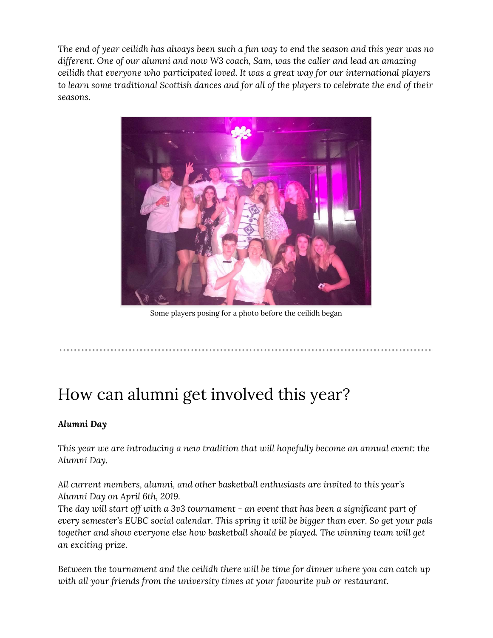The end of year ceilidh has always been such a fun way to end the season and this year was no *different. One of our alumni and now W3 coach, Sam, was the caller and lead an amazing ceilidh that everyone who participated loved. It was a great way for our international players to learn some traditional Scottish dances and for all of the players to celebrate the end of their seasons.*



Some players posing for a photo before the ceilidh began

### How can alumni get involved this year?

#### *Alumni Day*

*This year we are introducing a new tradition that will hopefully become an annual event: the Alumni Day.*

*All current members, alumni, and other basketball enthusiasts are invited to this year's Alumni Day on April 6th, 2019.*

*The day will start off with a 3v3 tournament - an event that has been a significant part of every semester's EUBC social calendar. This spring it will be bigger than ever. So get your pals together and show everyone else how basketball should be played. The winning team will get an exciting prize.*

*Between the tournament and the ceilidh there will be time for dinner where you can catch up with all your friends from the university times at your favourite pub or restaurant.*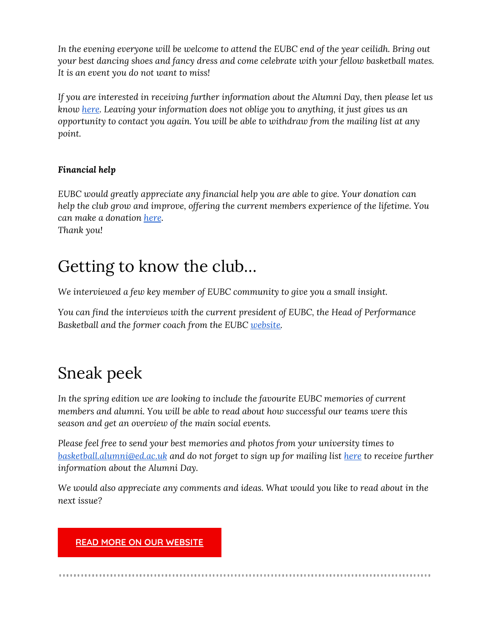*In the evening everyone will be welcome to attend the EUBC end of the year ceilidh. Bring out your best dancing shoes and fancy dress and come celebrate with your fellow basketball mates. It is an event you do not want to miss!*

*If you are interested in receiving further information about the Alumni Day, then please let us know [here.](https://docs.google.com/forms/d/e/1FAIpQLScG47cgydwwhz7_7W5J4T7BbhNIfkBidIZ0D_rxiuBXaDVD9w/viewform) Leaving your information does not oblige you to anything, it just gives us an opportunity to contact you again. You will be able to withdraw from the mailing list at any point.*

#### *Financial help*

*EUBC would greatly appreciate any financial help you are able to give. Your donation can help the club grow and improve, offering the current members experience of the lifetime. You can make a donation [here](https://donate.ed.ac.uk/portal/public/donate/donate.aspx?destination=EUSUAABasketball).*

*Thank you!*

### Getting to know the club…

*We interviewed a few key member of EUBC community to give you a small insight.*

*You can find the interviews with the current president of EUBC, the Head of Performance Basketball and the former coach from the EUBC [website.](https://edinburghuniversitybasketball.com/)*

## Sneak peek

*In the spring edition we are looking to include the favourite EUBC memories of current members and alumni. You will be able to read about how successful our teams were this season and get an overview of the main social events.*

*Please feel free to send your best memories and photos from your university times to [basketball.alumni@ed.ac.uk](mailto:basketball.alumni@ed.ac.uk) and do not forget to sign up for mailing list [here](https://docs.google.com/forms/d/e/1FAIpQLScG47cgydwwhz7_7W5J4T7BbhNIfkBidIZ0D_rxiuBXaDVD9w/viewform) to receive further information about the Alumni Day.*

*We would also appreciate any comments and ideas. What would you like to read about in the next issue?*

#### **READ MORE ON OUR [WEBSITE](https://edinburghuniversitybasketball.com/)**